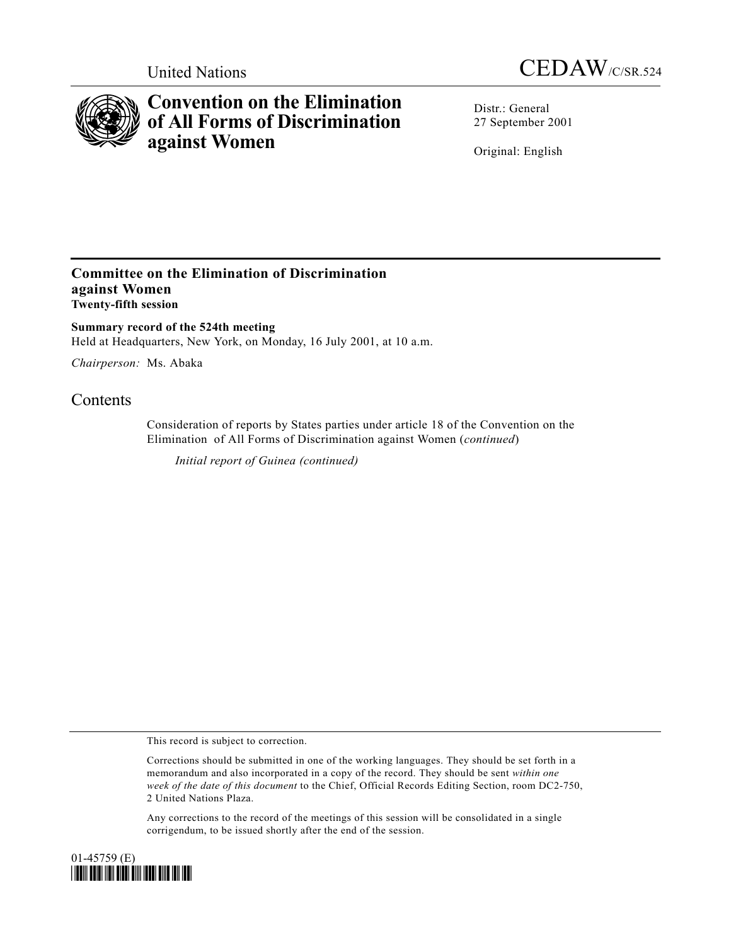



# **Convention on the Elimination of All Forms of Discrimination against Women**

Distr.: General 27 September 2001

Original: English

## **Committee on the Elimination of Discrimination against Women Twenty-fifth session**

**Summary record of the 524th meeting** Held at Headquarters, New York, on Monday, 16 July 2001, at 10 a.m.

*Chairperson:* Ms. Abaka

## **Contents**

Consideration of reports by States parties under article 18 of the Convention on the Elimination of All Forms of Discrimination against Women (*continued*)

*Initial report of Guinea (continued)*

This record is subject to correction.

Any corrections to the record of the meetings of this session will be consolidated in a single corrigendum, to be issued shortly after the end of the session.



Corrections should be submitted in one of the working languages. They should be set forth in a memorandum and also incorporated in a copy of the record. They should be sent *within one week of the date of this document* to the Chief, Official Records Editing Section, room DC2-750, 2 United Nations Plaza.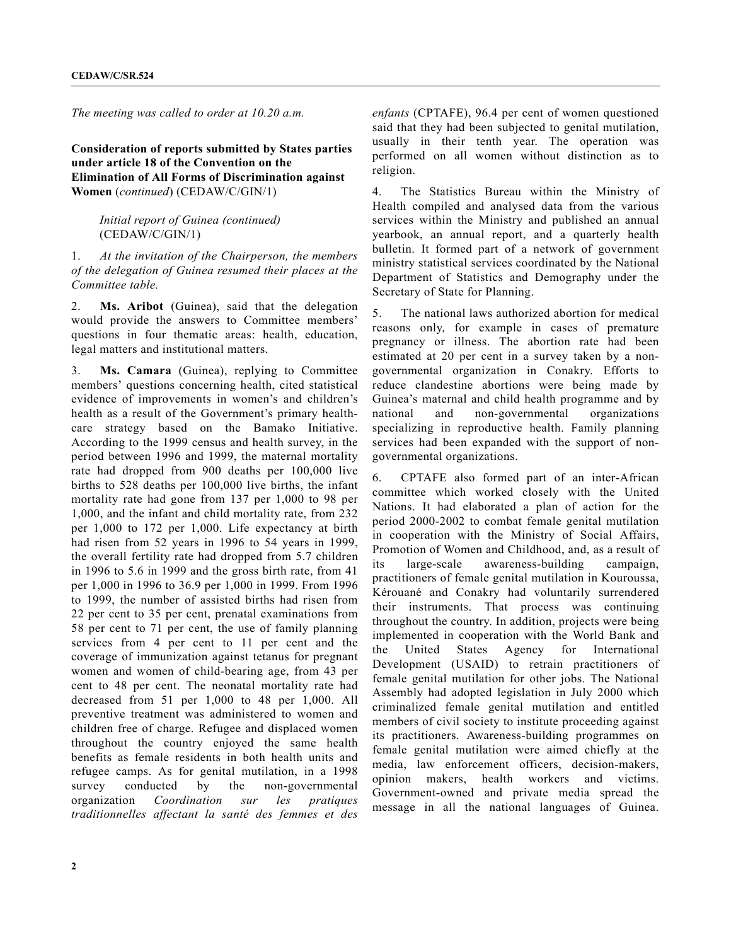*The meeting was called to order at 10.20 a.m.*

### **Consideration of reports submitted by States parties under article 18 of the Convention on the Elimination of All Forms of Discrimination against Women** (*continued*) (CEDAW/C/GIN/1)

#### *Initial report of Guinea (continued)* (CEDAW/C/GIN/1)

1. *At the invitation of the Chairperson, the members of the delegation of Guinea resumed their places at the Committee table.*

2. **Ms. Aribot** (Guinea), said that the delegation would provide the answers to Committee members' questions in four thematic areas: health, education, legal matters and institutional matters.

3. **Ms. Camara** (Guinea), replying to Committee members' questions concerning health, cited statistical evidence of improvements in women's and children's health as a result of the Government's primary healthcare strategy based on the Bamako Initiative. According to the 1999 census and health survey, in the period between 1996 and 1999, the maternal mortality rate had dropped from 900 deaths per 100,000 live births to 528 deaths per 100,000 live births, the infant mortality rate had gone from 137 per 1,000 to 98 per 1,000, and the infant and child mortality rate, from 232 per 1,000 to 172 per 1,000. Life expectancy at birth had risen from 52 years in 1996 to 54 years in 1999, the overall fertility rate had dropped from 5.7 children in 1996 to 5.6 in 1999 and the gross birth rate, from 41 per 1,000 in 1996 to 36.9 per 1,000 in 1999. From 1996 to 1999, the number of assisted births had risen from 22 per cent to 35 per cent, prenatal examinations from 58 per cent to 71 per cent, the use of family planning services from 4 per cent to 11 per cent and the coverage of immunization against tetanus for pregnant women and women of child-bearing age, from 43 per cent to 48 per cent. The neonatal mortality rate had decreased from 51 per 1,000 to 48 per 1,000. All preventive treatment was administered to women and children free of charge. Refugee and displaced women throughout the country enjoyed the same health benefits as female residents in both health units and refugee camps. As for genital mutilation, in a 1998 survey conducted by the non-governmental organization *Coordination sur les pratiques traditionnelles affectant la santé des femmes et des*

*enfants* (CPTAFE), 96.4 per cent of women questioned said that they had been subjected to genital mutilation, usually in their tenth year. The operation was performed on all women without distinction as to religion.

4. The Statistics Bureau within the Ministry of Health compiled and analysed data from the various services within the Ministry and published an annual yearbook, an annual report, and a quarterly health bulletin. It formed part of a network of government ministry statistical services coordinated by the National Department of Statistics and Demography under the Secretary of State for Planning.

5. The national laws authorized abortion for medical reasons only, for example in cases of premature pregnancy or illness. The abortion rate had been estimated at 20 per cent in a survey taken by a nongovernmental organization in Conakry. Efforts to reduce clandestine abortions were being made by Guinea's maternal and child health programme and by national and non-governmental organizations specializing in reproductive health. Family planning services had been expanded with the support of nongovernmental organizations.

6. CPTAFE also formed part of an inter-African committee which worked closely with the United Nations. It had elaborated a plan of action for the period 2000-2002 to combat female genital mutilation in cooperation with the Ministry of Social Affairs, Promotion of Women and Childhood, and, as a result of its large-scale awareness-building campaign, practitioners of female genital mutilation in Kouroussa, Kérouané and Conakry had voluntarily surrendered their instruments. That process was continuing throughout the country. In addition, projects were being implemented in cooperation with the World Bank and the United States Agency for International Development (USAID) to retrain practitioners of female genital mutilation for other jobs. The National Assembly had adopted legislation in July 2000 which criminalized female genital mutilation and entitled members of civil society to institute proceeding against its practitioners. Awareness-building programmes on female genital mutilation were aimed chiefly at the media, law enforcement officers, decision-makers, opinion makers, health workers and victims. Government-owned and private media spread the message in all the national languages of Guinea.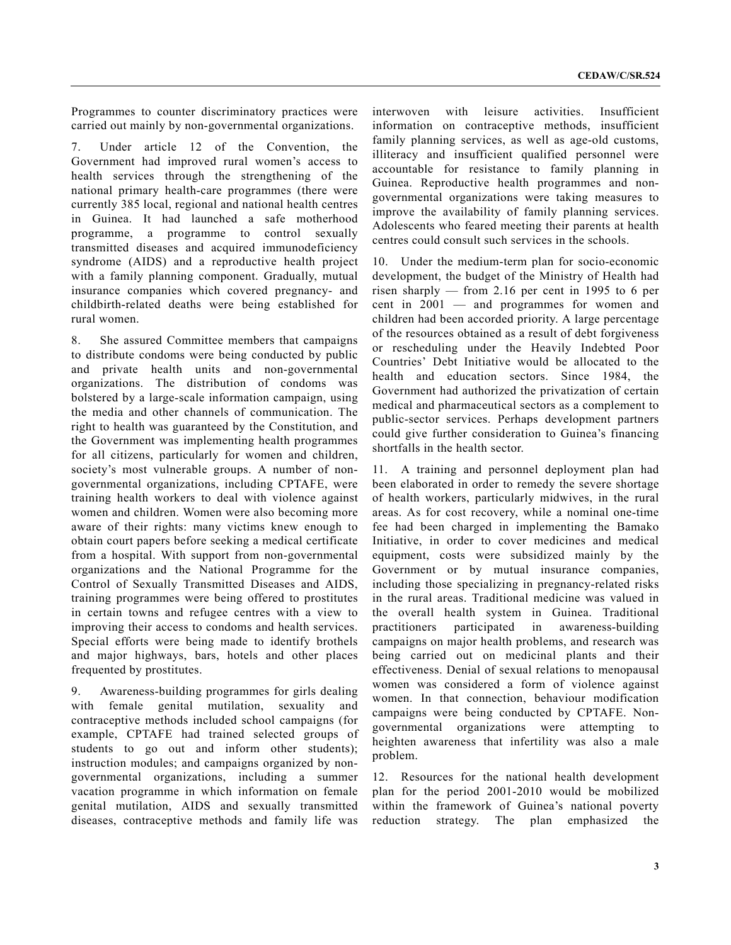Programmes to counter discriminatory practices were carried out mainly by non-governmental organizations.

7. Under article 12 of the Convention, the Government had improved rural women's access to health services through the strengthening of the national primary health-care programmes (there were currently 385 local, regional and national health centres in Guinea. It had launched a safe motherhood programme, a programme to control sexually transmitted diseases and acquired immunodeficiency syndrome (AIDS) and a reproductive health project with a family planning component. Gradually, mutual insurance companies which covered pregnancy- and childbirth-related deaths were being established for rural women.

8. She assured Committee members that campaigns to distribute condoms were being conducted by public and private health units and non-governmental organizations. The distribution of condoms was bolstered by a large-scale information campaign, using the media and other channels of communication. The right to health was guaranteed by the Constitution, and the Government was implementing health programmes for all citizens, particularly for women and children, society's most vulnerable groups. A number of nongovernmental organizations, including CPTAFE, were training health workers to deal with violence against women and children. Women were also becoming more aware of their rights: many victims knew enough to obtain court papers before seeking a medical certificate from a hospital. With support from non-governmental organizations and the National Programme for the Control of Sexually Transmitted Diseases and AIDS, training programmes were being offered to prostitutes in certain towns and refugee centres with a view to improving their access to condoms and health services. Special efforts were being made to identify brothels and major highways, bars, hotels and other places frequented by prostitutes.

9. Awareness-building programmes for girls dealing with female genital mutilation, sexuality and contraceptive methods included school campaigns (for example, CPTAFE had trained selected groups of students to go out and inform other students); instruction modules; and campaigns organized by nongovernmental organizations, including a summer vacation programme in which information on female genital mutilation, AIDS and sexually transmitted diseases, contraceptive methods and family life was

interwoven with leisure activities. Insufficient information on contraceptive methods, insufficient family planning services, as well as age-old customs, illiteracy and insufficient qualified personnel were accountable for resistance to family planning in Guinea. Reproductive health programmes and nongovernmental organizations were taking measures to improve the availability of family planning services. Adolescents who feared meeting their parents at health centres could consult such services in the schools.

10. Under the medium-term plan for socio-economic development, the budget of the Ministry of Health had risen sharply — from 2.16 per cent in 1995 to 6 per cent in 2001 — and programmes for women and children had been accorded priority. A large percentage of the resources obtained as a result of debt forgiveness or rescheduling under the Heavily Indebted Poor Countries' Debt Initiative would be allocated to the health and education sectors. Since 1984, the Government had authorized the privatization of certain medical and pharmaceutical sectors as a complement to public-sector services. Perhaps development partners could give further consideration to Guinea's financing shortfalls in the health sector.

11. A training and personnel deployment plan had been elaborated in order to remedy the severe shortage of health workers, particularly midwives, in the rural areas. As for cost recovery, while a nominal one-time fee had been charged in implementing the Bamako Initiative, in order to cover medicines and medical equipment, costs were subsidized mainly by the Government or by mutual insurance companies, including those specializing in pregnancy-related risks in the rural areas. Traditional medicine was valued in the overall health system in Guinea. Traditional practitioners participated in awareness-building campaigns on major health problems, and research was being carried out on medicinal plants and their effectiveness. Denial of sexual relations to menopausal women was considered a form of violence against women. In that connection, behaviour modification campaigns were being conducted by CPTAFE. Nongovernmental organizations were attempting to heighten awareness that infertility was also a male problem.

12. Resources for the national health development plan for the period 2001-2010 would be mobilized within the framework of Guinea's national poverty reduction strategy. The plan emphasized the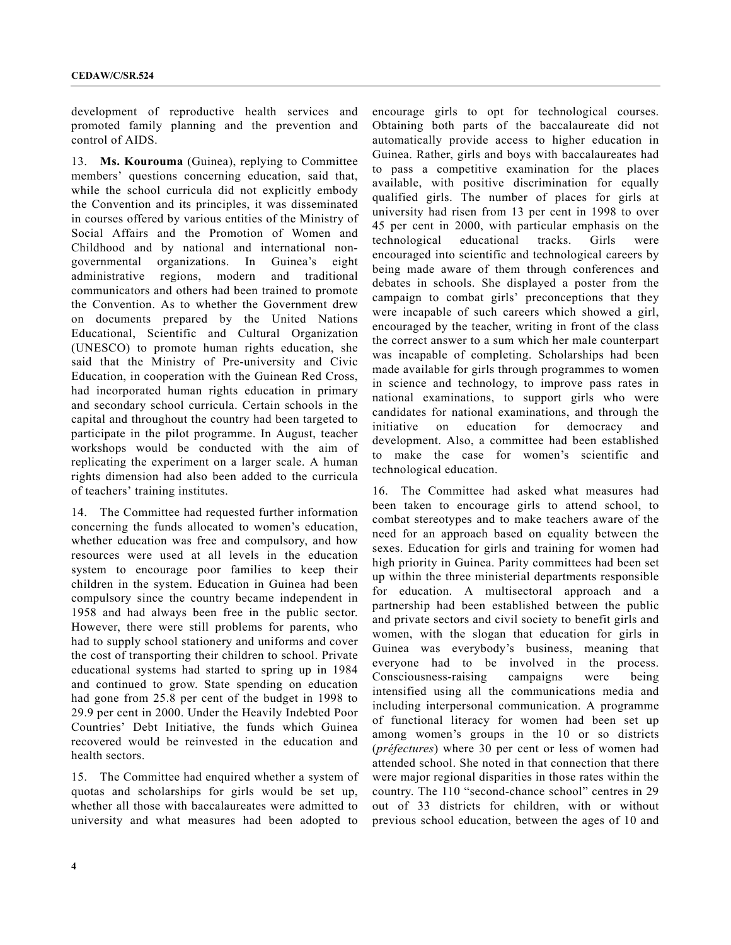development of reproductive health services and promoted family planning and the prevention and control of AIDS.

13. **Ms. Kourouma** (Guinea), replying to Committee members' questions concerning education, said that, while the school curricula did not explicitly embody the Convention and its principles, it was disseminated in courses offered by various entities of the Ministry of Social Affairs and the Promotion of Women and Childhood and by national and international nongovernmental organizations. In Guinea's eight administrative regions, modern and traditional communicators and others had been trained to promote the Convention. As to whether the Government drew on documents prepared by the United Nations Educational, Scientific and Cultural Organization (UNESCO) to promote human rights education, she said that the Ministry of Pre-university and Civic Education, in cooperation with the Guinean Red Cross, had incorporated human rights education in primary and secondary school curricula. Certain schools in the capital and throughout the country had been targeted to participate in the pilot programme. In August, teacher workshops would be conducted with the aim of replicating the experiment on a larger scale. A human rights dimension had also been added to the curricula of teachers' training institutes.

14. The Committee had requested further information concerning the funds allocated to women's education, whether education was free and compulsory, and how resources were used at all levels in the education system to encourage poor families to keep their children in the system. Education in Guinea had been compulsory since the country became independent in 1958 and had always been free in the public sector. However, there were still problems for parents, who had to supply school stationery and uniforms and cover the cost of transporting their children to school. Private educational systems had started to spring up in 1984 and continued to grow. State spending on education had gone from 25.8 per cent of the budget in 1998 to 29.9 per cent in 2000. Under the Heavily Indebted Poor Countries' Debt Initiative, the funds which Guinea recovered would be reinvested in the education and health sectors.

15. The Committee had enquired whether a system of quotas and scholarships for girls would be set up, whether all those with baccalaureates were admitted to university and what measures had been adopted to

encourage girls to opt for technological courses. Obtaining both parts of the baccalaureate did not automatically provide access to higher education in Guinea. Rather, girls and boys with baccalaureates had to pass a competitive examination for the places available, with positive discrimination for equally qualified girls. The number of places for girls at university had risen from 13 per cent in 1998 to over 45 per cent in 2000, with particular emphasis on the technological educational tracks. Girls were encouraged into scientific and technological careers by being made aware of them through conferences and debates in schools. She displayed a poster from the campaign to combat girls' preconceptions that they were incapable of such careers which showed a girl, encouraged by the teacher, writing in front of the class the correct answer to a sum which her male counterpart was incapable of completing. Scholarships had been made available for girls through programmes to women in science and technology, to improve pass rates in national examinations, to support girls who were candidates for national examinations, and through the initiative on education for democracy and development. Also, a committee had been established to make the case for women's scientific and technological education.

16. The Committee had asked what measures had been taken to encourage girls to attend school, to combat stereotypes and to make teachers aware of the need for an approach based on equality between the sexes. Education for girls and training for women had high priority in Guinea. Parity committees had been set up within the three ministerial departments responsible for education. A multisectoral approach and a partnership had been established between the public and private sectors and civil society to benefit girls and women, with the slogan that education for girls in Guinea was everybody's business, meaning that everyone had to be involved in the process. Consciousness-raising campaigns were being intensified using all the communications media and including interpersonal communication. A programme of functional literacy for women had been set up among women's groups in the 10 or so districts (*préfectures*) where 30 per cent or less of women had attended school. She noted in that connection that there were major regional disparities in those rates within the country. The 110 "second-chance school" centres in 29 out of 33 districts for children, with or without previous school education, between the ages of 10 and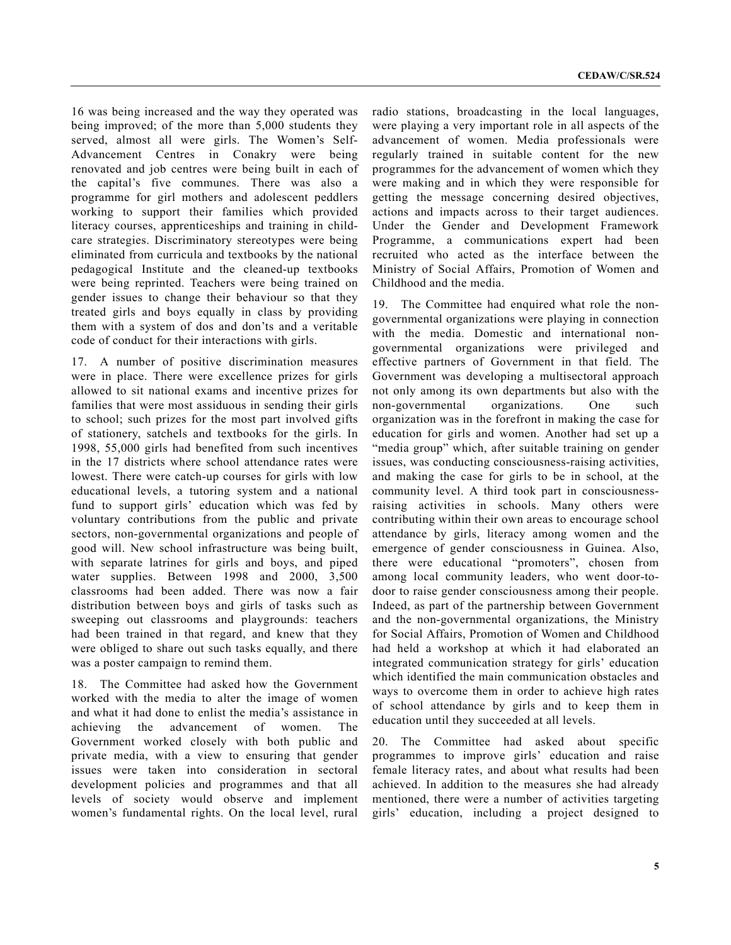16 was being increased and the way they operated was being improved; of the more than 5,000 students they served, almost all were girls. The Women's Self-Advancement Centres in Conakry were being renovated and job centres were being built in each of the capital's five communes. There was also a programme for girl mothers and adolescent peddlers working to support their families which provided literacy courses, apprenticeships and training in childcare strategies. Discriminatory stereotypes were being eliminated from curricula and textbooks by the national pedagogical Institute and the cleaned-up textbooks were being reprinted. Teachers were being trained on gender issues to change their behaviour so that they treated girls and boys equally in class by providing them with a system of dos and don'ts and a veritable code of conduct for their interactions with girls.

17. A number of positive discrimination measures were in place. There were excellence prizes for girls allowed to sit national exams and incentive prizes for families that were most assiduous in sending their girls to school; such prizes for the most part involved gifts of stationery, satchels and textbooks for the girls. In 1998, 55,000 girls had benefited from such incentives in the 17 districts where school attendance rates were lowest. There were catch-up courses for girls with low educational levels, a tutoring system and a national fund to support girls' education which was fed by voluntary contributions from the public and private sectors, non-governmental organizations and people of good will. New school infrastructure was being built, with separate latrines for girls and boys, and piped water supplies. Between 1998 and 2000, 3,500 classrooms had been added. There was now a fair distribution between boys and girls of tasks such as sweeping out classrooms and playgrounds: teachers had been trained in that regard, and knew that they were obliged to share out such tasks equally, and there was a poster campaign to remind them.

18. The Committee had asked how the Government worked with the media to alter the image of women and what it had done to enlist the media's assistance in achieving the advancement of women. The Government worked closely with both public and private media, with a view to ensuring that gender issues were taken into consideration in sectoral development policies and programmes and that all levels of society would observe and implement women's fundamental rights. On the local level, rural radio stations, broadcasting in the local languages, were playing a very important role in all aspects of the advancement of women. Media professionals were regularly trained in suitable content for the new programmes for the advancement of women which they were making and in which they were responsible for getting the message concerning desired objectives, actions and impacts across to their target audiences. Under the Gender and Development Framework Programme, a communications expert had been recruited who acted as the interface between the Ministry of Social Affairs, Promotion of Women and Childhood and the media.

19. The Committee had enquired what role the nongovernmental organizations were playing in connection with the media. Domestic and international nongovernmental organizations were privileged and effective partners of Government in that field. The Government was developing a multisectoral approach not only among its own departments but also with the non-governmental organizations. One such organization was in the forefront in making the case for education for girls and women. Another had set up a "media group" which, after suitable training on gender issues, was conducting consciousness-raising activities, and making the case for girls to be in school, at the community level. A third took part in consciousnessraising activities in schools. Many others were contributing within their own areas to encourage school attendance by girls, literacy among women and the emergence of gender consciousness in Guinea. Also, there were educational "promoters", chosen from among local community leaders, who went door-todoor to raise gender consciousness among their people. Indeed, as part of the partnership between Government and the non-governmental organizations, the Ministry for Social Affairs, Promotion of Women and Childhood had held a workshop at which it had elaborated an integrated communication strategy for girls' education which identified the main communication obstacles and ways to overcome them in order to achieve high rates of school attendance by girls and to keep them in education until they succeeded at all levels.

20. The Committee had asked about specific programmes to improve girls' education and raise female literacy rates, and about what results had been achieved. In addition to the measures she had already mentioned, there were a number of activities targeting girls' education, including a project designed to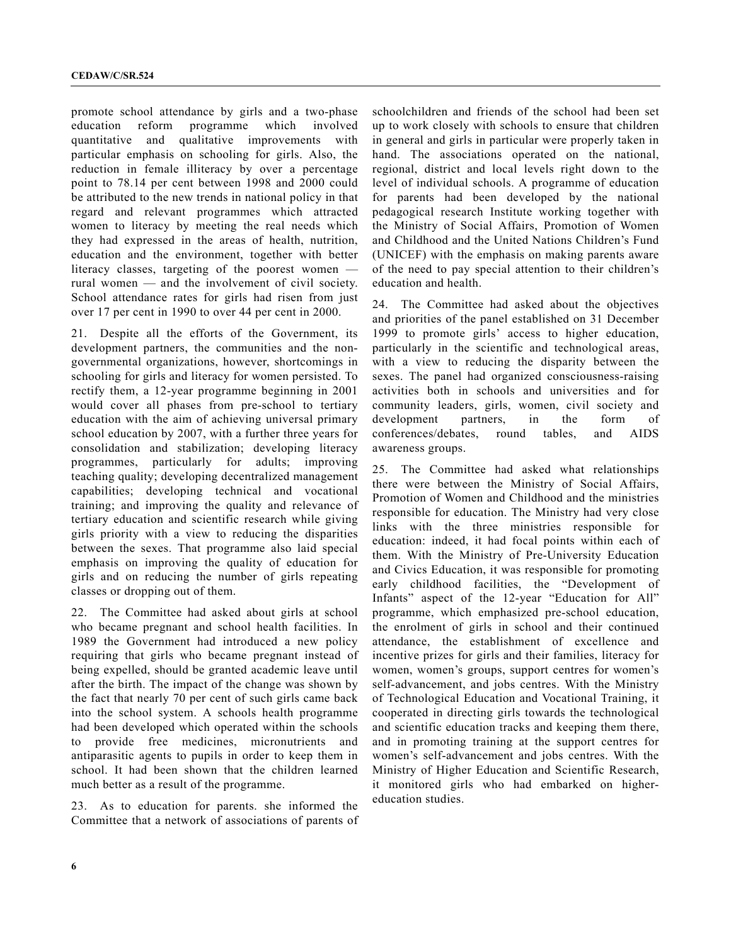promote school attendance by girls and a two-phase education reform programme which involved quantitative and qualitative improvements with particular emphasis on schooling for girls. Also, the reduction in female illiteracy by over a percentage point to 78.14 per cent between 1998 and 2000 could be attributed to the new trends in national policy in that regard and relevant programmes which attracted women to literacy by meeting the real needs which they had expressed in the areas of health, nutrition, education and the environment, together with better literacy classes, targeting of the poorest women rural women — and the involvement of civil society. School attendance rates for girls had risen from just over 17 per cent in 1990 to over 44 per cent in 2000.

21. Despite all the efforts of the Government, its development partners, the communities and the nongovernmental organizations, however, shortcomings in schooling for girls and literacy for women persisted. To rectify them, a 12-year programme beginning in 2001 would cover all phases from pre-school to tertiary education with the aim of achieving universal primary school education by 2007, with a further three years for consolidation and stabilization; developing literacy programmes, particularly for adults; improving teaching quality; developing decentralized management capabilities; developing technical and vocational training; and improving the quality and relevance of tertiary education and scientific research while giving girls priority with a view to reducing the disparities between the sexes. That programme also laid special emphasis on improving the quality of education for girls and on reducing the number of girls repeating classes or dropping out of them.

22. The Committee had asked about girls at school who became pregnant and school health facilities. In 1989 the Government had introduced a new policy requiring that girls who became pregnant instead of being expelled, should be granted academic leave until after the birth. The impact of the change was shown by the fact that nearly 70 per cent of such girls came back into the school system. A schools health programme had been developed which operated within the schools to provide free medicines, micronutrients and antiparasitic agents to pupils in order to keep them in school. It had been shown that the children learned much better as a result of the programme.

23. As to education for parents. she informed the Committee that a network of associations of parents of

schoolchildren and friends of the school had been set up to work closely with schools to ensure that children in general and girls in particular were properly taken in hand. The associations operated on the national, regional, district and local levels right down to the level of individual schools. A programme of education for parents had been developed by the national pedagogical research Institute working together with the Ministry of Social Affairs, Promotion of Women and Childhood and the United Nations Children's Fund (UNICEF) with the emphasis on making parents aware of the need to pay special attention to their children's education and health.

24. The Committee had asked about the objectives and priorities of the panel established on 31 December 1999 to promote girls' access to higher education, particularly in the scientific and technological areas, with a view to reducing the disparity between the sexes. The panel had organized consciousness-raising activities both in schools and universities and for community leaders, girls, women, civil society and development partners, in the form of conferences/debates, round tables, and AIDS awareness groups.

25. The Committee had asked what relationships there were between the Ministry of Social Affairs, Promotion of Women and Childhood and the ministries responsible for education. The Ministry had very close links with the three ministries responsible for education: indeed, it had focal points within each of them. With the Ministry of Pre-University Education and Civics Education, it was responsible for promoting early childhood facilities, the "Development of Infants" aspect of the 12-year "Education for All" programme, which emphasized pre-school education, the enrolment of girls in school and their continued attendance, the establishment of excellence and incentive prizes for girls and their families, literacy for women, women's groups, support centres for women's self-advancement, and jobs centres. With the Ministry of Technological Education and Vocational Training, it cooperated in directing girls towards the technological and scientific education tracks and keeping them there, and in promoting training at the support centres for women's self-advancement and jobs centres. With the Ministry of Higher Education and Scientific Research, it monitored girls who had embarked on highereducation studies.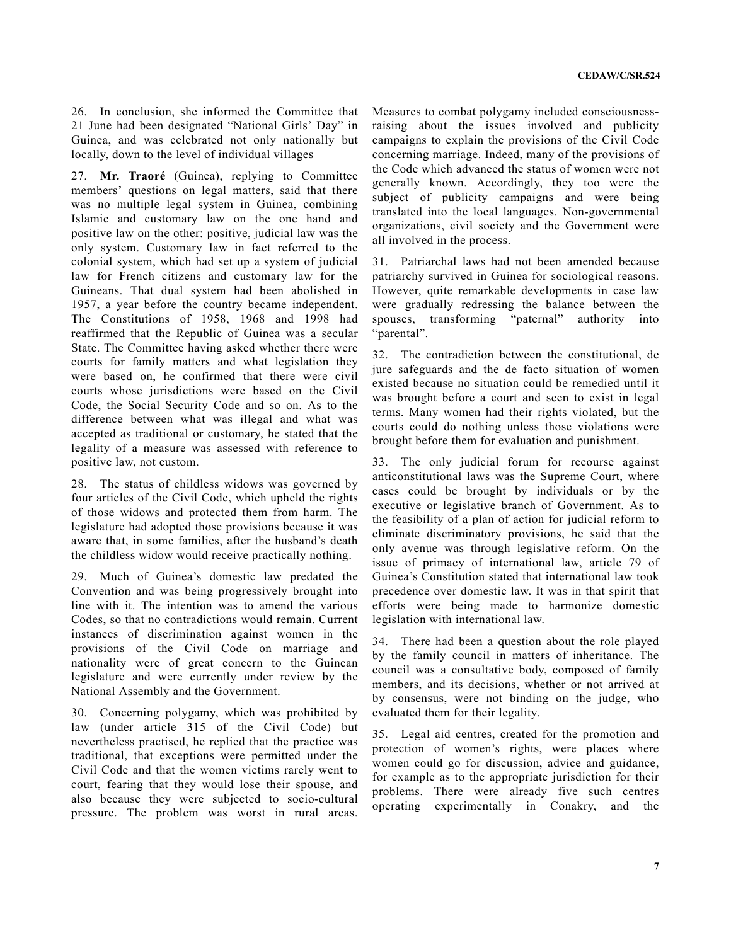26. In conclusion, she informed the Committee that 21 June had been designated "National Girls' Day" in Guinea, and was celebrated not only nationally but locally, down to the level of individual villages

27. **Mr. Traoré** (Guinea), replying to Committee members' questions on legal matters, said that there was no multiple legal system in Guinea, combining Islamic and customary law on the one hand and positive law on the other: positive, judicial law was the only system. Customary law in fact referred to the colonial system, which had set up a system of judicial law for French citizens and customary law for the Guineans. That dual system had been abolished in 1957, a year before the country became independent. The Constitutions of 1958, 1968 and 1998 had reaffirmed that the Republic of Guinea was a secular State. The Committee having asked whether there were courts for family matters and what legislation they were based on, he confirmed that there were civil courts whose jurisdictions were based on the Civil Code, the Social Security Code and so on. As to the difference between what was illegal and what was accepted as traditional or customary, he stated that the legality of a measure was assessed with reference to positive law, not custom.

28. The status of childless widows was governed by four articles of the Civil Code, which upheld the rights of those widows and protected them from harm. The legislature had adopted those provisions because it was aware that, in some families, after the husband's death the childless widow would receive practically nothing.

29. Much of Guinea's domestic law predated the Convention and was being progressively brought into line with it. The intention was to amend the various Codes, so that no contradictions would remain. Current instances of discrimination against women in the provisions of the Civil Code on marriage and nationality were of great concern to the Guinean legislature and were currently under review by the National Assembly and the Government.

30. Concerning polygamy, which was prohibited by law (under article 315 of the Civil Code) but nevertheless practised, he replied that the practice was traditional, that exceptions were permitted under the Civil Code and that the women victims rarely went to court, fearing that they would lose their spouse, and also because they were subjected to socio-cultural pressure. The problem was worst in rural areas.

Measures to combat polygamy included consciousnessraising about the issues involved and publicity campaigns to explain the provisions of the Civil Code concerning marriage. Indeed, many of the provisions of the Code which advanced the status of women were not generally known. Accordingly, they too were the subject of publicity campaigns and were being translated into the local languages. Non-governmental organizations, civil society and the Government were all involved in the process.

31. Patriarchal laws had not been amended because patriarchy survived in Guinea for sociological reasons. However, quite remarkable developments in case law were gradually redressing the balance between the spouses, transforming "paternal" authority into "parental".

32. The contradiction between the constitutional, de jure safeguards and the de facto situation of women existed because no situation could be remedied until it was brought before a court and seen to exist in legal terms. Many women had their rights violated, but the courts could do nothing unless those violations were brought before them for evaluation and punishment.

33. The only judicial forum for recourse against anticonstitutional laws was the Supreme Court, where cases could be brought by individuals or by the executive or legislative branch of Government. As to the feasibility of a plan of action for judicial reform to eliminate discriminatory provisions, he said that the only avenue was through legislative reform. On the issue of primacy of international law, article 79 of Guinea's Constitution stated that international law took precedence over domestic law. It was in that spirit that efforts were being made to harmonize domestic legislation with international law.

34. There had been a question about the role played by the family council in matters of inheritance. The council was a consultative body, composed of family members, and its decisions, whether or not arrived at by consensus, were not binding on the judge, who evaluated them for their legality.

35. Legal aid centres, created for the promotion and protection of women's rights, were places where women could go for discussion, advice and guidance, for example as to the appropriate jurisdiction for their problems. There were already five such centres operating experimentally in Conakry, and the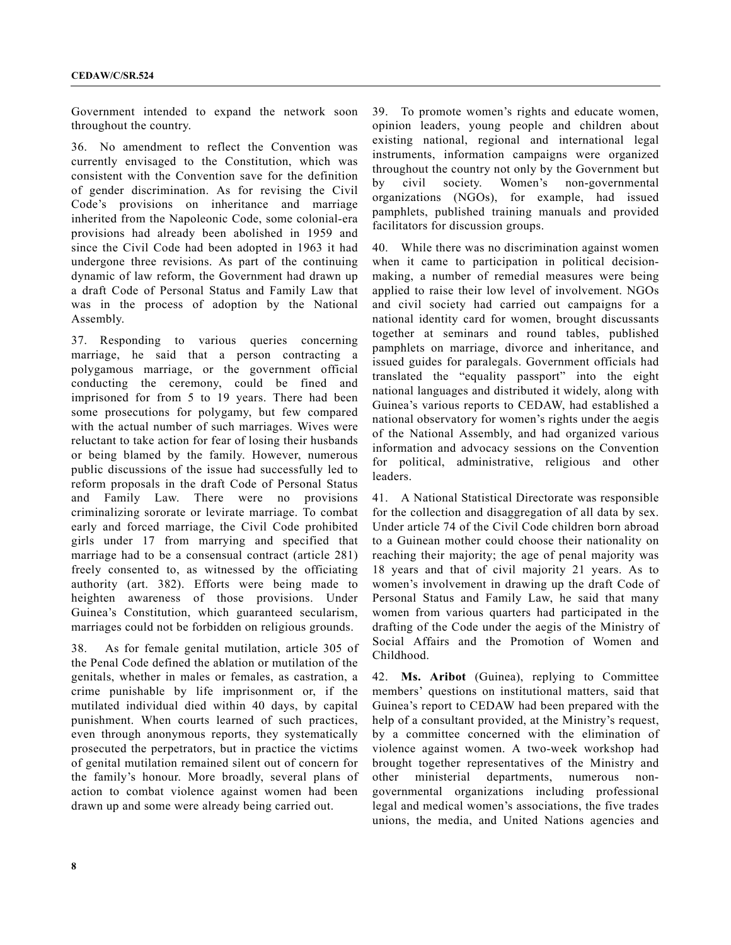Government intended to expand the network soon throughout the country.

36. No amendment to reflect the Convention was currently envisaged to the Constitution, which was consistent with the Convention save for the definition of gender discrimination. As for revising the Civil Code's provisions on inheritance and marriage inherited from the Napoleonic Code, some colonial-era provisions had already been abolished in 1959 and since the Civil Code had been adopted in 1963 it had undergone three revisions. As part of the continuing dynamic of law reform, the Government had drawn up a draft Code of Personal Status and Family Law that was in the process of adoption by the National Assembly.

37. Responding to various queries concerning marriage, he said that a person contracting a polygamous marriage, or the government official conducting the ceremony, could be fined and imprisoned for from 5 to 19 years. There had been some prosecutions for polygamy, but few compared with the actual number of such marriages. Wives were reluctant to take action for fear of losing their husbands or being blamed by the family. However, numerous public discussions of the issue had successfully led to reform proposals in the draft Code of Personal Status and Family Law. There were no provisions criminalizing sororate or levirate marriage. To combat early and forced marriage, the Civil Code prohibited girls under 17 from marrying and specified that marriage had to be a consensual contract (article 281) freely consented to, as witnessed by the officiating authority (art. 382). Efforts were being made to heighten awareness of those provisions. Under Guinea's Constitution, which guaranteed secularism, marriages could not be forbidden on religious grounds.

38. As for female genital mutilation, article 305 of the Penal Code defined the ablation or mutilation of the genitals, whether in males or females, as castration, a crime punishable by life imprisonment or, if the mutilated individual died within 40 days, by capital punishment. When courts learned of such practices, even through anonymous reports, they systematically prosecuted the perpetrators, but in practice the victims of genital mutilation remained silent out of concern for the family's honour. More broadly, several plans of action to combat violence against women had been drawn up and some were already being carried out.

39. To promote women's rights and educate women, opinion leaders, young people and children about existing national, regional and international legal instruments, information campaigns were organized throughout the country not only by the Government but by civil society. Women's non-governmental organizations (NGOs), for example, had issued pamphlets, published training manuals and provided facilitators for discussion groups.

40. While there was no discrimination against women when it came to participation in political decisionmaking, a number of remedial measures were being applied to raise their low level of involvement. NGOs and civil society had carried out campaigns for a national identity card for women, brought discussants together at seminars and round tables, published pamphlets on marriage, divorce and inheritance, and issued guides for paralegals. Government officials had translated the "equality passport" into the eight national languages and distributed it widely, along with Guinea's various reports to CEDAW, had established a national observatory for women's rights under the aegis of the National Assembly, and had organized various information and advocacy sessions on the Convention for political, administrative, religious and other leaders.

41. A National Statistical Directorate was responsible for the collection and disaggregation of all data by sex. Under article 74 of the Civil Code children born abroad to a Guinean mother could choose their nationality on reaching their majority; the age of penal majority was 18 years and that of civil majority 21 years. As to women's involvement in drawing up the draft Code of Personal Status and Family Law, he said that many women from various quarters had participated in the drafting of the Code under the aegis of the Ministry of Social Affairs and the Promotion of Women and Childhood.

42. **Ms. Aribot** (Guinea), replying to Committee members' questions on institutional matters, said that Guinea's report to CEDAW had been prepared with the help of a consultant provided, at the Ministry's request, by a committee concerned with the elimination of violence against women. A two-week workshop had brought together representatives of the Ministry and other ministerial departments, numerous nongovernmental organizations including professional legal and medical women's associations, the five trades unions, the media, and United Nations agencies and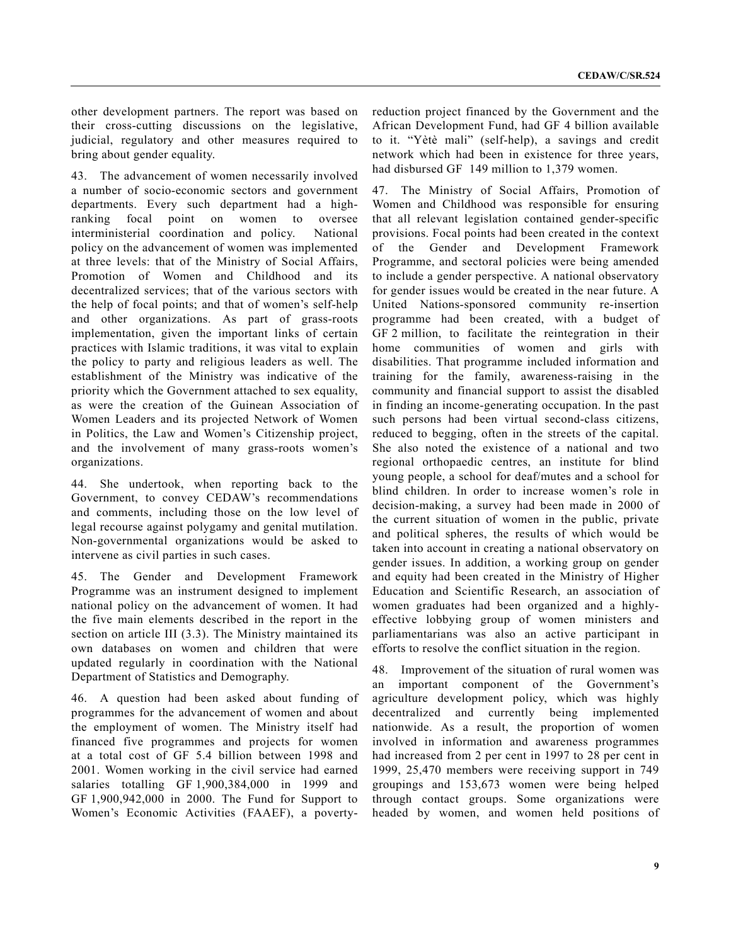other development partners. The report was based on their cross-cutting discussions on the legislative, judicial, regulatory and other measures required to bring about gender equality.

43. The advancement of women necessarily involved a number of socio-economic sectors and government departments. Every such department had a highranking focal point on women to oversee interministerial coordination and policy. National policy on the advancement of women was implemented at three levels: that of the Ministry of Social Affairs, Promotion of Women and Childhood and its decentralized services; that of the various sectors with the help of focal points; and that of women's self-help and other organizations. As part of grass-roots implementation, given the important links of certain practices with Islamic traditions, it was vital to explain the policy to party and religious leaders as well. The establishment of the Ministry was indicative of the priority which the Government attached to sex equality, as were the creation of the Guinean Association of Women Leaders and its projected Network of Women in Politics, the Law and Women's Citizenship project, and the involvement of many grass-roots women's organizations.

44. She undertook, when reporting back to the Government, to convey CEDAW's recommendations and comments, including those on the low level of legal recourse against polygamy and genital mutilation. Non-governmental organizations would be asked to intervene as civil parties in such cases.

45. The Gender and Development Framework Programme was an instrument designed to implement national policy on the advancement of women. It had the five main elements described in the report in the section on article III (3.3). The Ministry maintained its own databases on women and children that were updated regularly in coordination with the National Department of Statistics and Demography.

46. A question had been asked about funding of programmes for the advancement of women and about the employment of women. The Ministry itself had financed five programmes and projects for women at a total cost of GF 5.4 billion between 1998 and 2001. Women working in the civil service had earned salaries totalling GF 1,900,384,000 in 1999 and GF 1,900,942,000 in 2000. The Fund for Support to Women's Economic Activities (FAAEF), a povertyreduction project financed by the Government and the African Development Fund, had GF 4 billion available to it. "Yètè mali" (self-help), a savings and credit network which had been in existence for three years, had disbursed GF 149 million to 1,379 women.

47. The Ministry of Social Affairs, Promotion of Women and Childhood was responsible for ensuring that all relevant legislation contained gender-specific provisions. Focal points had been created in the context of the Gender and Development Framework Programme, and sectoral policies were being amended to include a gender perspective. A national observatory for gender issues would be created in the near future. A United Nations-sponsored community re-insertion programme had been created, with a budget of GF 2 million, to facilitate the reintegration in their home communities of women and girls with disabilities. That programme included information and training for the family, awareness-raising in the community and financial support to assist the disabled in finding an income-generating occupation. In the past such persons had been virtual second-class citizens, reduced to begging, often in the streets of the capital. She also noted the existence of a national and two regional orthopaedic centres, an institute for blind young people, a school for deaf/mutes and a school for blind children. In order to increase women's role in decision-making, a survey had been made in 2000 of the current situation of women in the public, private and political spheres, the results of which would be taken into account in creating a national observatory on gender issues. In addition, a working group on gender and equity had been created in the Ministry of Higher Education and Scientific Research, an association of women graduates had been organized and a highlyeffective lobbying group of women ministers and parliamentarians was also an active participant in efforts to resolve the conflict situation in the region.

48. Improvement of the situation of rural women was an important component of the Government's agriculture development policy, which was highly decentralized and currently being implemented nationwide. As a result, the proportion of women involved in information and awareness programmes had increased from 2 per cent in 1997 to 28 per cent in 1999, 25,470 members were receiving support in 749 groupings and 153,673 women were being helped through contact groups. Some organizations were headed by women, and women held positions of